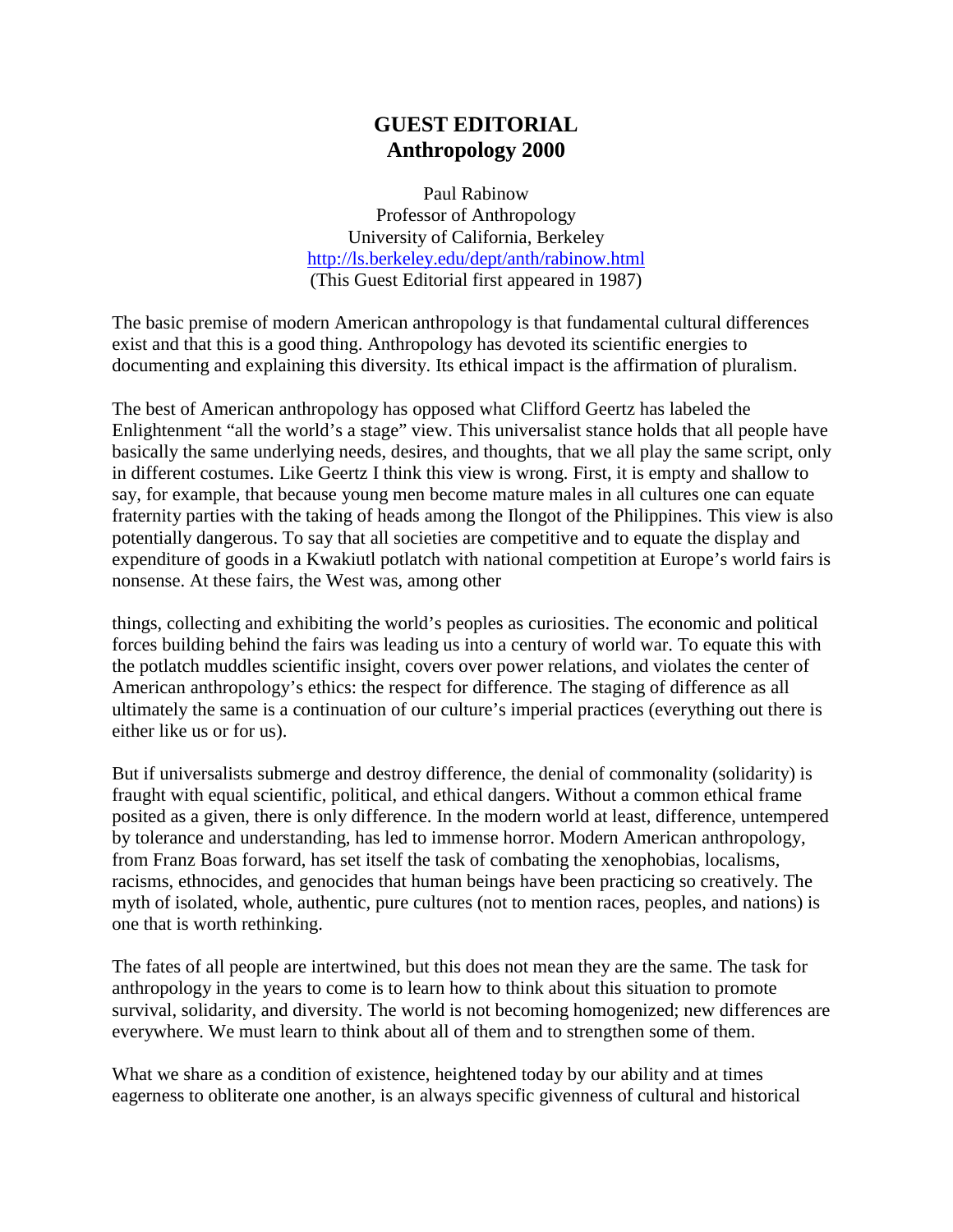## **GUEST EDITORIAL Anthropology 2000**

Paul Rabinow Professor of Anthropology University of California, Berkeley http://ls.berkeley.edu/dept/anth/rabinow.html (This Guest Editorial first appeared in 1987)

The basic premise of modern American anthropology is that fundamental cultural differences exist and that this is a good thing. Anthropology has devoted its scientific energies to documenting and explaining this diversity. Its ethical impact is the affirmation of pluralism.

The best of American anthropology has opposed what Clifford Geertz has labeled the Enlightenment "all the world's a stage" view. This universalist stance holds that all people have basically the same underlying needs, desires, and thoughts, that we all play the same script, only in different costumes. Like Geertz I think this view is wrong. First, it is empty and shallow to say, for example, that because young men become mature males in all cultures one can equate fraternity parties with the taking of heads among the Ilongot of the Philippines. This view is also potentially dangerous. To say that all societies are competitive and to equate the display and expenditure of goods in a Kwakiutl potlatch with national competition at Europe's world fairs is nonsense. At these fairs, the West was, among other

things, collecting and exhibiting the world's peoples as curiosities. The economic and political forces building behind the fairs was leading us into a century of world war. To equate this with the potlatch muddles scientific insight, covers over power relations, and violates the center of American anthropology's ethics: the respect for difference. The staging of difference as all ultimately the same is a continuation of our culture's imperial practices (everything out there is either like us or for us).

But if universalists submerge and destroy difference, the denial of commonality (solidarity) is fraught with equal scientific, political, and ethical dangers. Without a common ethical frame posited as a given, there is only difference. In the modern world at least, difference, untempered by tolerance and understanding, has led to immense horror. Modern American anthropology, from Franz Boas forward, has set itself the task of combating the xenophobias, localisms, racisms, ethnocides, and genocides that human beings have been practicing so creatively. The myth of isolated, whole, authentic, pure cultures (not to mention races, peoples, and nations) is one that is worth rethinking.

The fates of all people are intertwined, but this does not mean they are the same. The task for anthropology in the years to come is to learn how to think about this situation to promote survival, solidarity, and diversity. The world is not becoming homogenized; new differences are everywhere. We must learn to think about all of them and to strengthen some of them.

What we share as a condition of existence, heightened today by our ability and at times eagerness to obliterate one another, is an always specific givenness of cultural and historical